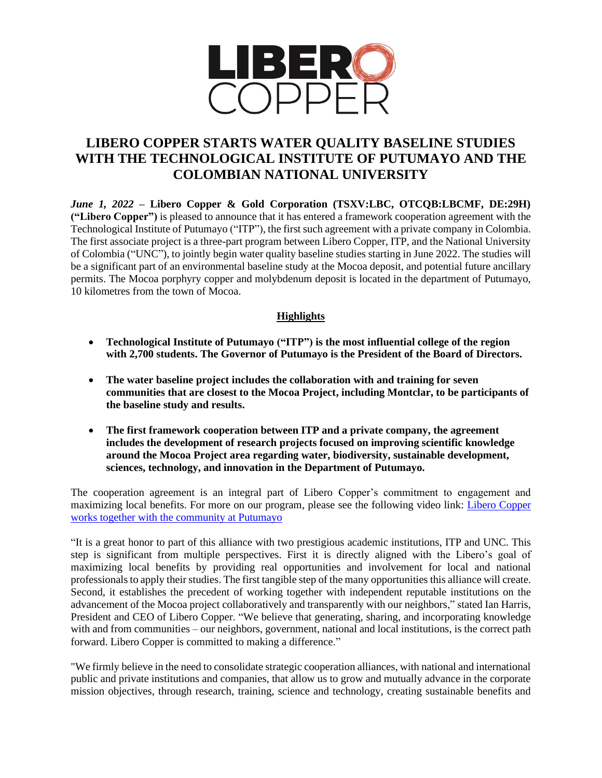

## **LIBERO COPPER STARTS WATER QUALITY BASELINE STUDIES WITH THE TECHNOLOGICAL INSTITUTE OF PUTUMAYO AND THE COLOMBIAN NATIONAL UNIVERSITY**

*June 1, 2022* **– Libero Copper & Gold Corporation (TSXV:LBC, OTCQB:LBCMF, DE:29H) ("Libero Copper")** is pleased to announce that it has entered a framework cooperation agreement with the Technological Institute of Putumayo ("ITP"), the first such agreement with a private company in Colombia. The first associate project is a three-part program between Libero Copper, ITP, and the National University of Colombia ("UNC"), to jointly begin water quality baseline studies starting in June 2022. The studies will be a significant part of an environmental baseline study at the Mocoa deposit, and potential future ancillary permits. The Mocoa porphyry copper and molybdenum deposit is located in the department of Putumayo, 10 kilometres from the town of Mocoa.

## **Highlights**

- **Technological Institute of Putumayo ("ITP") is the most influential college of the region with 2,700 students. The Governor of Putumayo is the President of the Board of Directors.**
- **The water baseline project includes the collaboration with and training for seven communities that are closest to the Mocoa Project, including Montclar, to be participants of the baseline study and results.**
- **The first framework cooperation between ITP and a private company, the agreement includes the development of research projects focused on improving scientific knowledge around the Mocoa Project area regarding water, biodiversity, sustainable development, sciences, technology, and innovation in the Department of Putumayo.**

The cooperation agreement is an integral part of Libero Copper's commitment to engagement and maximizing local benefits. For more on our program, please see the following video link: [Libero Copper](https://youtu.be/DE4uUXNZa5I)  [works together with the community at Putumayo](https://youtu.be/DE4uUXNZa5I)

"It is a great honor to part of this alliance with two prestigious academic institutions, ITP and UNC. This step is significant from multiple perspectives. First it is directly aligned with the Libero's goal of maximizing local benefits by providing real opportunities and involvement for local and national professionals to apply their studies. The first tangible step of the many opportunities this alliance will create. Second, it establishes the precedent of working together with independent reputable institutions on the advancement of the Mocoa project collaboratively and transparently with our neighbors," stated Ian Harris, President and CEO of Libero Copper. "We believe that generating, sharing, and incorporating knowledge with and from communities – our neighbors, government, national and local institutions, is the correct path forward. Libero Copper is committed to making a difference."

"We firmly believe in the need to consolidate strategic cooperation alliances, with national and international public and private institutions and companies, that allow us to grow and mutually advance in the corporate mission objectives, through research, training, science and technology, creating sustainable benefits and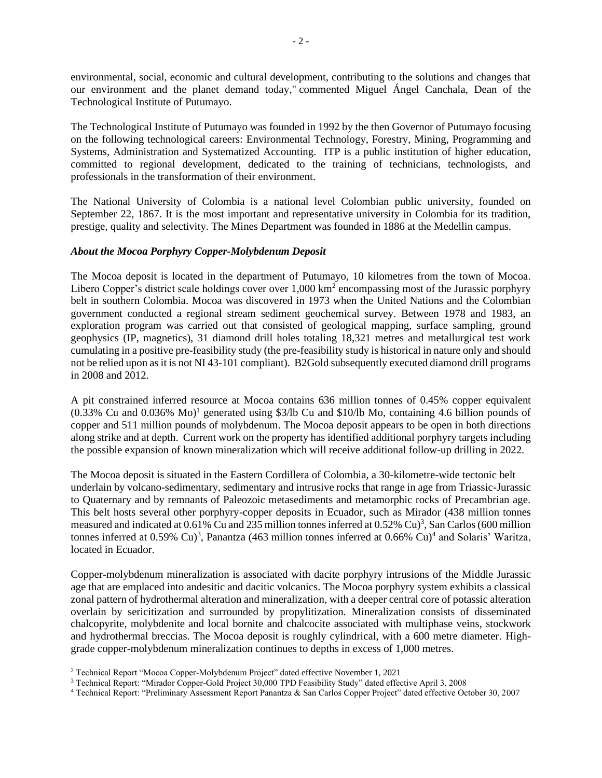environmental, social, economic and cultural development, contributing to the solutions and changes that our environment and the planet demand today," commented Miguel Ángel Canchala, Dean of the Technological Institute of Putumayo.

The Technological Institute of Putumayo was founded in 1992 by the then Governor of Putumayo focusing on the following technological careers: Environmental Technology, Forestry, Mining, Programming and Systems, Administration and Systematized Accounting. ITP is a public institution of higher education, committed to regional development, dedicated to the training of technicians, technologists, and professionals in the transformation of their environment.

The National University of Colombia is a national level Colombian public university, founded on September 22, 1867. It is the most important and representative university in Colombia for its tradition, prestige, quality and selectivity. The Mines Department was founded in 1886 at the Medellin campus.

## *About the Mocoa Porphyry Copper-Molybdenum Deposit*

The Mocoa deposit is located in the department of Putumayo, 10 kilometres from the town of Mocoa. Libero Copper's district scale holdings cover over  $1,000 \text{ km}^2$  encompassing most of the Jurassic porphyry belt in southern Colombia. Mocoa was discovered in 1973 when the United Nations and the Colombian government conducted a regional stream sediment geochemical survey. Between 1978 and 1983, an exploration program was carried out that consisted of geological mapping, surface sampling, ground geophysics (IP, magnetics), 31 diamond drill holes totaling 18,321 metres and metallurgical test work cumulating in a positive pre-feasibility study (the pre-feasibility study is historical in nature only and should not be relied upon as it is not NI 43-101 compliant). B2Gold subsequently executed diamond drill programs in 2008 and 2012.

A pit constrained inferred resource at Mocoa contains 636 million tonnes of 0.45% copper equivalent  $(0.33\%$  Cu and  $0.036\%$  Mo)<sup>1</sup> generated using \$3/lb Cu and \$10/lb Mo, containing 4.6 billion pounds of copper and 511 million pounds of molybdenum. The Mocoa deposit appears to be open in both directions along strike and at depth. Current work on the property has identified additional porphyry targets including the possible expansion of known mineralization which will receive additional follow-up drilling in 2022.

The Mocoa deposit is situated in the Eastern Cordillera of Colombia, a 30-kilometre-wide tectonic belt underlain by volcano-sedimentary, sedimentary and intrusive rocks that range in age from Triassic-Jurassic to Quaternary and by remnants of Paleozoic metasediments and metamorphic rocks of Precambrian age. This belt hosts several other porphyry-copper deposits in Ecuador, such as Mirador (438 million tonnes measured and indicated at  $0.61\%$  Cu and 235 million tonnes inferred at  $0.52\%$  Cu)<sup>3</sup>, San Carlos (600 million tonnes inferred at  $0.59\%$  Cu)<sup>3</sup>, Panantza (463 million tonnes inferred at  $0.66\%$  Cu)<sup>4</sup> and Solaris' Waritza, located in Ecuador.

Copper-molybdenum mineralization is associated with dacite porphyry intrusions of the Middle Jurassic age that are emplaced into andesitic and dacitic volcanics. The Mocoa porphyry system exhibits a classical zonal pattern of hydrothermal alteration and mineralization, with a deeper central core of potassic alteration overlain by sericitization and surrounded by propylitization. Mineralization consists of disseminated chalcopyrite, molybdenite and local bornite and chalcocite associated with multiphase veins, stockwork and hydrothermal breccias. The Mocoa deposit is roughly cylindrical, with a 600 metre diameter. Highgrade copper-molybdenum mineralization continues to depths in excess of 1,000 metres.

<sup>2</sup> Technical Report "Mocoa Copper-Molybdenum Project" dated effective November 1, 2021

<sup>3</sup> Technical Report: "Mirador Copper-Gold Project 30,000 TPD Feasibility Study" dated effective April 3, 2008

<sup>4</sup> Technical Report: "Preliminary Assessment Report Panantza & San Carlos Copper Project" dated effective October 30, 2007